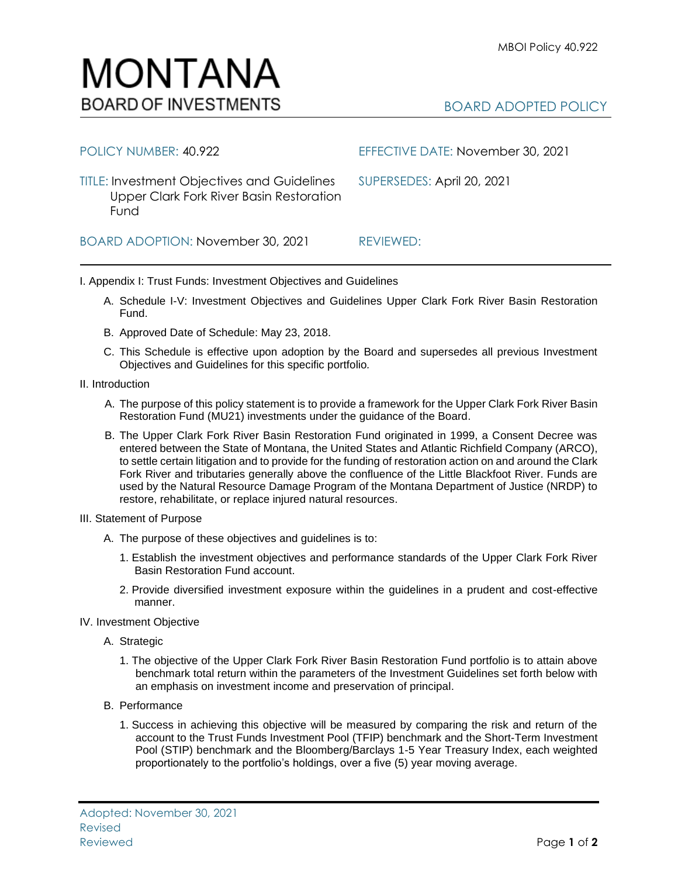BOARD ADOPTED POLICY



TITLE: Investment Objectives and Guidelines SUPERSEDES: April 20, 2021 Upper Clark Fork River Basin Restoration Fund

BOARD ADOPTION: November 30, 2021 REVIEWED:

POLICY NUMBER: 40.922 EFFECTIVE DATE: November 30, 2021

I. Appendix I: Trust Funds: Investment Objectives and Guidelines

- A. Schedule I-V: Investment Objectives and Guidelines Upper Clark Fork River Basin Restoration Fund.
- B. Approved Date of Schedule: May 23, 2018.
- C. This Schedule is effective upon adoption by the Board and supersedes all previous Investment Objectives and Guidelines for this specific portfolio*.*
- II. Introduction
	- A. The purpose of this policy statement is to provide a framework for the Upper Clark Fork River Basin Restoration Fund (MU21) investments under the guidance of the Board.
	- B. The Upper Clark Fork River Basin Restoration Fund originated in 1999, a Consent Decree was entered between the State of Montana, the United States and Atlantic Richfield Company (ARCO), to settle certain litigation and to provide for the funding of restoration action on and around the Clark Fork River and tributaries generally above the confluence of the Little Blackfoot River. Funds are used by the Natural Resource Damage Program of the Montana Department of Justice (NRDP) to restore, rehabilitate, or replace injured natural resources.
- III. Statement of Purpose
	- A. The purpose of these objectives and guidelines is to:
		- 1. Establish the investment objectives and performance standards of the Upper Clark Fork River Basin Restoration Fund account.
		- 2. Provide diversified investment exposure within the guidelines in a prudent and cost-effective manner.
- IV. Investment Objective
	- A. Strategic
		- 1. The objective of the Upper Clark Fork River Basin Restoration Fund portfolio is to attain above benchmark total return within the parameters of the Investment Guidelines set forth below with an emphasis on investment income and preservation of principal.
	- B. Performance
		- 1. Success in achieving this objective will be measured by comparing the risk and return of the account to the Trust Funds Investment Pool (TFIP) benchmark and the Short-Term Investment Pool (STIP) benchmark and the Bloomberg/Barclays 1-5 Year Treasury Index, each weighted proportionately to the portfolio's holdings, over a five (5) year moving average.